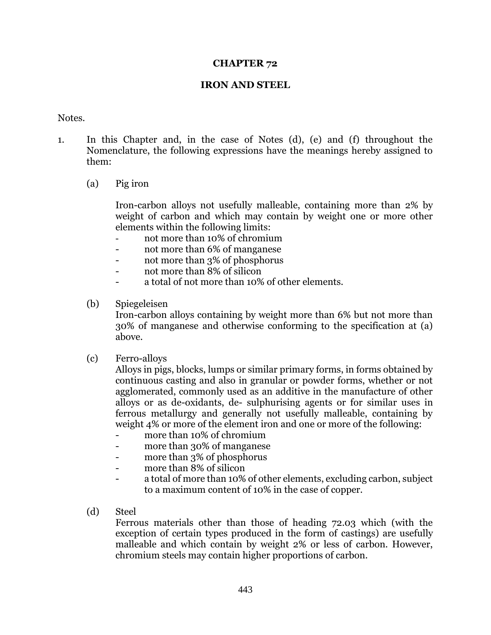### **CHAPTER 72**

### **IRON AND STEEL**

#### Notes.

- 1. In this Chapter and, in the case of Notes (d), (e) and (f) throughout the Nomenclature, the following expressions have the meanings hereby assigned to them:
	- (a) Pig iron

Iron-carbon alloys not usefully malleable, containing more than 2% by weight of carbon and which may contain by weight one or more other elements within the following limits:

- not more than 10% of chromium
- not more than 6% of manganese
- not more than 3% of phosphorus
- not more than 8% of silicon
- a total of not more than 10% of other elements.
- (b) Spiegeleisen

Iron-carbon alloys containing by weight more than 6% but not more than 30% of manganese and otherwise conforming to the specification at (a) above.

(c) Ferro-alloys

Alloys in pigs, blocks, lumps or similar primary forms, in forms obtained by continuous casting and also in granular or powder forms, whether or not agglomerated, commonly used as an additive in the manufacture of other alloys or as de-oxidants, de- sulphurising agents or for similar uses in ferrous metallurgy and generally not usefully malleable, containing by weight 4% or more of the element iron and one or more of the following:

- more than 10% of chromium
- more than 30% of manganese
- more than 3% of phosphorus
- more than 8% of silicon
- a total of more than 10% of other elements, excluding carbon, subject to a maximum content of 10% in the case of copper.
- (d) Steel

Ferrous materials other than those of heading 72.03 which (with the exception of certain types produced in the form of castings) are usefully malleable and which contain by weight 2% or less of carbon. However, chromium steels may contain higher proportions of carbon.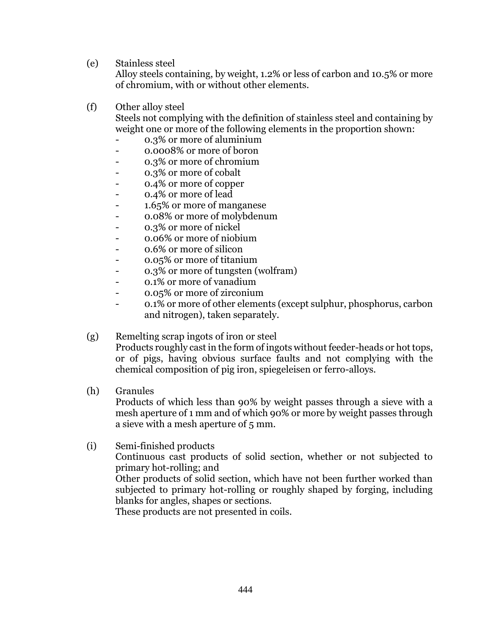(e) Stainless steel

Alloy steels containing, by weight, 1.2% or less of carbon and 10.5% or more of chromium, with or without other elements.

(f) Other alloy steel

Steels not complying with the definition of stainless steel and containing by weight one or more of the following elements in the proportion shown:

- 0.3% or more of aluminium
- 0.0008% or more of boron
- 0.3% or more of chromium
- 0.3% or more of cobalt
- 0.4% or more of copper
- 0.4% or more of lead
- 1.65% or more of manganese
- 0.08% or more of molybdenum
- 0.3% or more of nickel
- 0.06% or more of niobium
- 0.6% or more of silicon
- 0.05% or more of titanium
- 0.3% or more of tungsten (wolfram)
- 0.1% or more of vanadium
- 0.05% or more of zirconium
- 0.1% or more of other elements (except sulphur, phosphorus, carbon and nitrogen), taken separately.

## (g) Remelting scrap ingots of iron or steel

Products roughly cast in the form of ingots without feeder-heads or hot tops, or of pigs, having obvious surface faults and not complying with the chemical composition of pig iron, spiegeleisen or ferro-alloys.

(h) Granules

Products of which less than 90% by weight passes through a sieve with a mesh aperture of 1 mm and of which 90% or more by weight passes through a sieve with a mesh aperture of 5 mm.

(i) Semi-finished products Continuous cast products of solid section, whether or not subjected to primary hot-rolling; and Other products of solid section, which have not been further worked than subjected to primary hot-rolling or roughly shaped by forging, including blanks for angles, shapes or sections. These products are not presented in coils.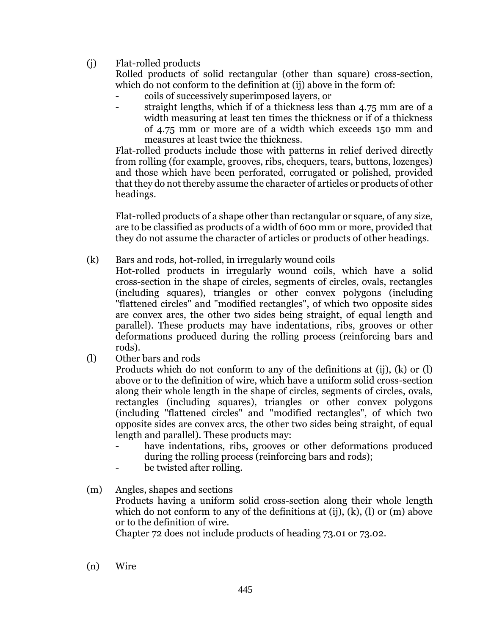(j) Flat-rolled products

Rolled products of solid rectangular (other than square) cross-section, which do not conform to the definition at (ij) above in the form of:

- coils of successively superimposed layers, or
- straight lengths, which if of a thickness less than 4.75 mm are of a width measuring at least ten times the thickness or if of a thickness of 4.75 mm or more are of a width which exceeds 150 mm and measures at least twice the thickness.

Flat-rolled products include those with patterns in relief derived directly from rolling (for example, grooves, ribs, chequers, tears, buttons, lozenges) and those which have been perforated, corrugated or polished, provided that they do not thereby assume the character of articles or products of other headings.

Flat-rolled products of a shape other than rectangular or square, of any size, are to be classified as products of a width of 600 mm or more, provided that they do not assume the character of articles or products of other headings.

(k) Bars and rods, hot-rolled, in irregularly wound coils

Hot-rolled products in irregularly wound coils, which have a solid cross-section in the shape of circles, segments of circles, ovals, rectangles (including squares), triangles or other convex polygons (including "flattened circles" and "modified rectangles", of which two opposite sides are convex arcs, the other two sides being straight, of equal length and parallel). These products may have indentations, ribs, grooves or other deformations produced during the rolling process (reinforcing bars and rods).

(l) Other bars and rods

Products which do not conform to any of the definitions at (ij), (k) or (l) above or to the definition of wire, which have a uniform solid cross-section along their whole length in the shape of circles, segments of circles, ovals, rectangles (including squares), triangles or other convex polygons (including "flattened circles" and "modified rectangles", of which two opposite sides are convex arcs, the other two sides being straight, of equal length and parallel). These products may:

- have indentations, ribs, grooves or other deformations produced during the rolling process (reinforcing bars and rods);
- be twisted after rolling.

### (m) Angles, shapes and sections Products having a uniform solid cross-section along their whole length which do not conform to any of the definitions at (ij), (k), (l) or (m) above or to the definition of wire.

Chapter 72 does not include products of heading 73.01 or 73.02.

(n) Wire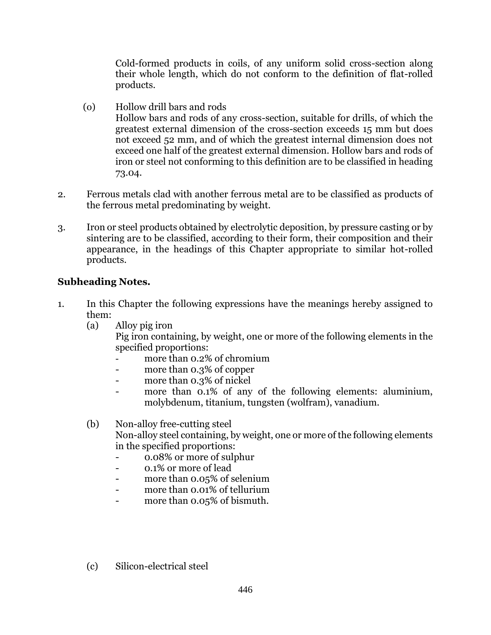Cold-formed products in coils, of any uniform solid cross-section along their whole length, which do not conform to the definition of flat-rolled products.

- (o) Hollow drill bars and rods Hollow bars and rods of any cross-section, suitable for drills, of which the greatest external dimension of the cross-section exceeds 15 mm but does not exceed 52 mm, and of which the greatest internal dimension does not exceed one half of the greatest external dimension. Hollow bars and rods of iron or steel not conforming to this definition are to be classified in heading 73.04.
- 2. Ferrous metals clad with another ferrous metal are to be classified as products of the ferrous metal predominating by weight.
- 3. Iron or steel products obtained by electrolytic deposition, by pressure casting or by sintering are to be classified, according to their form, their composition and their appearance, in the headings of this Chapter appropriate to similar hot-rolled products.

# **Subheading Notes.**

- 1. In this Chapter the following expressions have the meanings hereby assigned to them:
	- (a) Alloy pig iron

Pig iron containing, by weight, one or more of the following elements in the specified proportions:

- more than 0.2% of chromium
- more than 0.3% of copper
- more than 0.3% of nickel
- more than 0.1% of any of the following elements: aluminium, molybdenum, titanium, tungsten (wolfram), vanadium.

(b) Non-alloy free-cutting steel Non-alloy steel containing, by weight, one or more of the following elements in the specified proportions:

- 0.08% or more of sulphur
- 0.1% or more of lead
- more than 0.05% of selenium
- more than 0.01% of tellurium
- more than 0.05% of bismuth.
- (c) Silicon-electrical steel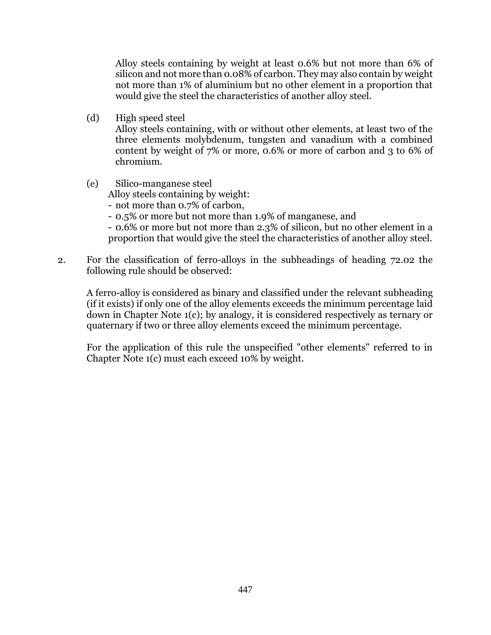Alloy steels containing by weight at least 0.6% but not more than 6% of silicon and not more than 0.08% of carbon. They may also contain by weight not more than 1% of aluminium but no other element in a proportion that would give the steel the characteristics of another alloy steel.

(d) High speed steel

Alloy steels containing, with or without other elements, at least two of the three elements molybdenum, tungsten and vanadium with a combined content by weight of 7% or more, 0.6% or more of carbon and 3 to 6% of chromium.

(e) Silico-manganese steel Alloy steels containing by weight: - not more than 0.7% of carbon, - 0.5% or more but not more than 1.9% of manganese, and

- 0.6% or more but not more than 2.3% of silicon, but no other element in a proportion that would give the steel the characteristics of another alloy steel.

2. For the classification of ferro-alloys in the subheadings of heading 72.02 the following rule should be observed:

A ferro-alloy is considered as binary and classified under the relevant subheading (if it exists) if only one of the alloy elements exceeds the minimum percentage laid down in Chapter Note 1(c); by analogy, it is considered respectively as ternary or quaternary if two or three alloy elements exceed the minimum percentage.

For the application of this rule the unspecified "other elements" referred to in Chapter Note 1(c) must each exceed 10% by weight.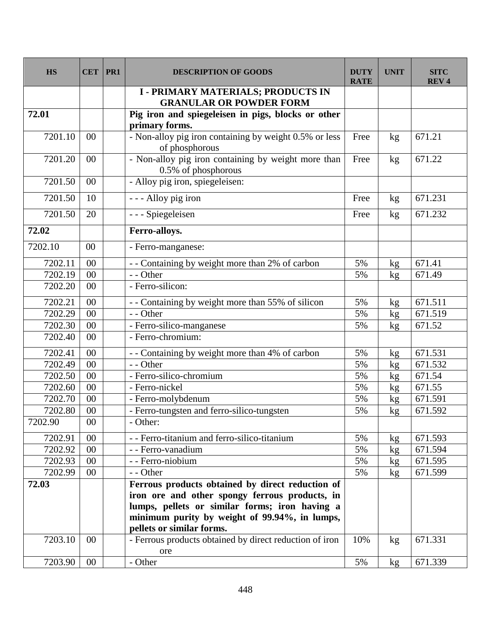| <b>HS</b> | <b>CET</b> | PR1 | <b>DESCRIPTION OF GOODS</b>                                                | <b>DUTY</b><br><b>RATE</b> | <b>UNIT</b> | <b>SITC</b><br><b>REV4</b> |
|-----------|------------|-----|----------------------------------------------------------------------------|----------------------------|-------------|----------------------------|
|           |            |     | <b>I-PRIMARY MATERIALS; PRODUCTS IN</b><br><b>GRANULAR OR POWDER FORM</b>  |                            |             |                            |
| 72.01     |            |     | Pig iron and spiegeleisen in pigs, blocks or other                         |                            |             |                            |
|           |            |     | primary forms.                                                             |                            |             |                            |
| 7201.10   | 00         |     | - Non-alloy pig iron containing by weight 0.5% or less<br>of phosphorous   | Free                       | kg          | 671.21                     |
| 7201.20   | 00         |     | - Non-alloy pig iron containing by weight more than<br>0.5% of phosphorous | Free                       | kg          | 671.22                     |
| 7201.50   | 00         |     | - Alloy pig iron, spiegeleisen:                                            |                            |             |                            |
| 7201.50   | 10         |     | - - - Alloy pig iron                                                       | Free                       | kg          | 671.231                    |
| 7201.50   | 20         |     | - - - Spiegeleisen                                                         | Free                       | kg          | 671.232                    |
| 72.02     |            |     | Ferro-alloys.                                                              |                            |             |                            |
| 7202.10   | 00         |     | - Ferro-manganese:                                                         |                            |             |                            |
| 7202.11   | 00         |     | - - Containing by weight more than 2% of carbon                            | 5%                         | kg          | 671.41                     |
| 7202.19   | 00         |     | - - Other                                                                  | 5%                         | kg          | 671.49                     |
| 7202.20   | 00         |     | - Ferro-silicon:                                                           |                            |             |                            |
| 7202.21   | 00         |     | - - Containing by weight more than 55% of silicon                          | 5%                         | kg          | 671.511                    |
| 7202.29   | 00         |     | - - Other                                                                  | 5%                         | kg          | 671.519                    |
| 7202.30   | 00         |     | - Ferro-silico-manganese                                                   | 5%                         | kg          | 671.52                     |
| 7202.40   | 00         |     | - Ferro-chromium:                                                          |                            |             |                            |
| 7202.41   | 00         |     | - - Containing by weight more than 4% of carbon                            | 5%                         | kg          | 671.531                    |
| 7202.49   | 00         |     | - - Other                                                                  | 5%                         | kg          | 671.532                    |
| 7202.50   | 00         |     | - Ferro-silico-chromium                                                    | 5%                         | kg          | 671.54                     |
| 7202.60   | 00         |     | - Ferro-nickel                                                             | 5%                         | kg          | 671.55                     |
| 7202.70   | 00         |     | - Ferro-molybdenum                                                         | 5%                         | kg          | 671.591                    |
| 7202.80   | $00\,$     |     | - Ferro-tungsten and ferro-silico-tungsten                                 | 5%                         | kg          | 671.592                    |
| 7202.90   | $00\,$     |     | - Other:                                                                   |                            |             |                            |
| 7202.91   | $00\,$     |     | - - Ferro-titanium and ferro-silico-titanium                               | 5%                         | kg          | 671.593                    |
| 7202.92   | $00\,$     |     | - - Ferro-vanadium                                                         | 5%                         | kg          | 671.594                    |
| 7202.93   | 00         |     | - - Ferro-niobium                                                          | 5%                         | kg          | 671.595                    |
| 7202.99   | $00\,$     |     | - - Other                                                                  | 5%                         | kg          | 671.599                    |
| 72.03     |            |     | Ferrous products obtained by direct reduction of                           |                            |             |                            |
|           |            |     | iron ore and other spongy ferrous products, in                             |                            |             |                            |
|           |            |     | lumps, pellets or similar forms; iron having a                             |                            |             |                            |
|           |            |     | minimum purity by weight of 99.94%, in lumps,                              |                            |             |                            |
|           |            |     | pellets or similar forms.                                                  |                            |             |                            |
| 7203.10   | $00\,$     |     | - Ferrous products obtained by direct reduction of iron<br>ore             | 10%                        | kg          | 671.331                    |
| 7203.90   | $00\,$     |     | - Other                                                                    | 5%                         | kg          | 671.339                    |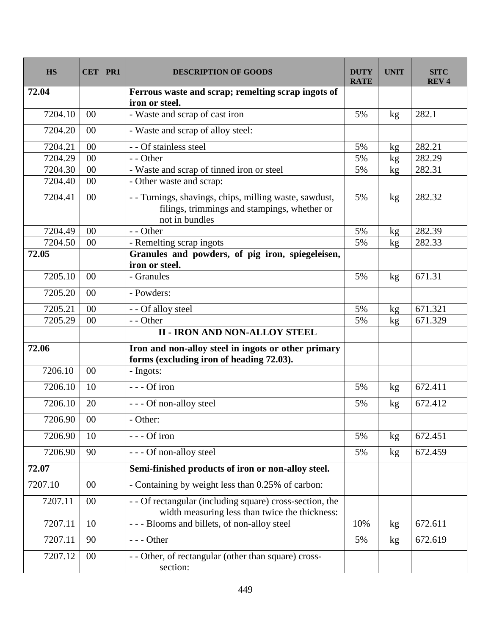| <b>HS</b> | <b>CET</b>      | PR1 | <b>DESCRIPTION OF GOODS</b>                                                                                             | <b>DUTY</b><br><b>RATE</b> | <b>UNIT</b>   | <b>SITC</b><br><b>REV4</b> |
|-----------|-----------------|-----|-------------------------------------------------------------------------------------------------------------------------|----------------------------|---------------|----------------------------|
| 72.04     |                 |     | Ferrous waste and scrap; remelting scrap ingots of<br>iron or steel.                                                    |                            |               |                            |
| 7204.10   | $00\,$          |     | - Waste and scrap of cast iron                                                                                          | 5%                         | kg            | 282.1                      |
| 7204.20   | 00              |     | - Waste and scrap of alloy steel:                                                                                       |                            |               |                            |
| 7204.21   | 00              |     | - - Of stainless steel                                                                                                  | 5%                         | kg            | 282.21                     |
| 7204.29   | 00              |     | - - Other                                                                                                               | 5%                         | kg            | 282.29                     |
| 7204.30   | 00              |     | - Waste and scrap of tinned iron or steel                                                                               | 5%                         | kg            | 282.31                     |
| 7204.40   | 00              |     | - Other waste and scrap:                                                                                                |                            |               |                            |
| 7204.41   | 00              |     | -- Turnings, shavings, chips, milling waste, sawdust,<br>filings, trimmings and stampings, whether or<br>not in bundles | 5%                         | kg            | 282.32                     |
| 7204.49   | $00\,$          |     | - - Other                                                                                                               | 5%                         | kg            | 282.39                     |
| 7204.50   | 00              |     | - Remelting scrap ingots                                                                                                | 5%                         | kg            | 282.33                     |
| 72.05     |                 |     | Granules and powders, of pig iron, spiegeleisen,<br>iron or steel.                                                      |                            |               |                            |
| 7205.10   | $00\,$          |     | - Granules                                                                                                              | 5%                         | kg            | 671.31                     |
| 7205.20   | 00              |     | - Powders:                                                                                                              |                            |               |                            |
| 7205.21   | $00\,$          |     | - - Of alloy steel                                                                                                      | 5%                         | kg            | 671.321                    |
| 7205.29   | 00              |     | - - Other                                                                                                               | 5%                         | kg            | 671.329                    |
|           |                 |     | <b>II - IRON AND NON-ALLOY STEEL</b>                                                                                    |                            |               |                            |
| 72.06     |                 |     | Iron and non-alloy steel in ingots or other primary<br>forms (excluding iron of heading 72.03).                         |                            |               |                            |
| 7206.10   | 00              |     | - Ingots:                                                                                                               |                            |               |                            |
| 7206.10   | 10              |     | --- Of iron                                                                                                             | 5%                         | $\mathbf{kg}$ | 672.411                    |
| 7206.10   | 20              |     | --- Of non-alloy steel                                                                                                  | 5%                         | kg            | 672.412                    |
| 7206.90   | $\overline{00}$ |     | - Other:                                                                                                                |                            |               |                            |
| 7206.90   | 10              |     | --- Of iron                                                                                                             | 5%                         | kg            | 672.451                    |
| 7206.90   | 90              |     | --- Of non-alloy steel                                                                                                  | 5%                         | kg            | 672.459                    |
| 72.07     |                 |     | Semi-finished products of iron or non-alloy steel.                                                                      |                            |               |                            |
| 7207.10   | $00\,$          |     | - Containing by weight less than 0.25% of carbon:                                                                       |                            |               |                            |
| 7207.11   | $00\,$          |     | - - Of rectangular (including square) cross-section, the<br>width measuring less than twice the thickness:              |                            |               |                            |
| 7207.11   | 10              |     | --- Blooms and billets, of non-alloy steel                                                                              | 10%                        | kg            | 672.611                    |
| 7207.11   | 90              |     | $--$ Other                                                                                                              | 5%                         | kg            | 672.619                    |
| 7207.12   | $00\,$          |     | - - Other, of rectangular (other than square) cross-<br>section:                                                        |                            |               |                            |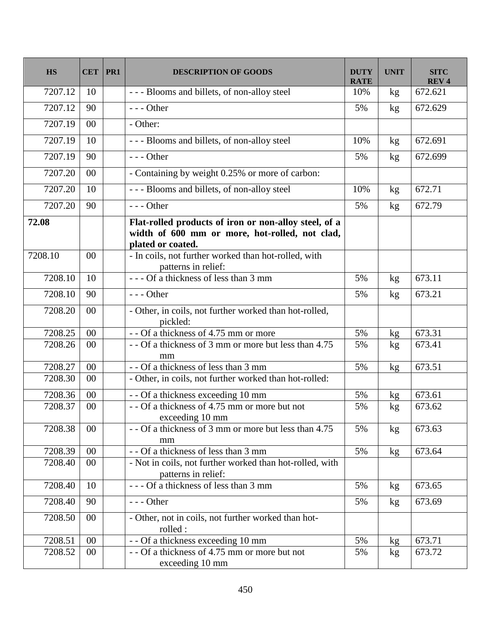| <b>HS</b>        | <b>CET</b> | PR <sub>1</sub> | <b>DESCRIPTION OF GOODS</b>                                                                                                                                                          | <b>DUTY</b><br><b>RATE</b> | <b>UNIT</b> | <b>SITC</b><br><b>REV4</b> |
|------------------|------------|-----------------|--------------------------------------------------------------------------------------------------------------------------------------------------------------------------------------|----------------------------|-------------|----------------------------|
| 7207.12          | 10         |                 | --- Blooms and billets, of non-alloy steel                                                                                                                                           | 10%                        | kg          | 672.621                    |
| 7207.12          | 90         |                 | $--$ Other                                                                                                                                                                           | 5%                         | kg          | 672.629                    |
| 7207.19          | $00\,$     |                 | - Other:                                                                                                                                                                             |                            |             |                            |
| 7207.19          | 10         |                 | --- Blooms and billets, of non-alloy steel                                                                                                                                           | 10%                        | kg          | 672.691                    |
| 7207.19          | 90         |                 | $--$ Other                                                                                                                                                                           | 5%                         | kg          | 672.699                    |
| 7207.20          | $00\,$     |                 | - Containing by weight 0.25% or more of carbon:                                                                                                                                      |                            |             |                            |
| 7207.20          | 10         |                 | --- Blooms and billets, of non-alloy steel                                                                                                                                           | 10%                        | kg          | 672.71                     |
| 7207.20          | 90         |                 | $--$ Other                                                                                                                                                                           | 5%                         | kg          | 672.79                     |
| 72.08<br>7208.10 | 00         |                 | Flat-rolled products of iron or non-alloy steel, of a<br>width of 600 mm or more, hot-rolled, not clad,<br>plated or coated.<br>- In coils, not further worked than hot-rolled, with |                            |             |                            |
| 7208.10          | 10         |                 | patterns in relief:<br>--- Of a thickness of less than 3 mm                                                                                                                          | 5%                         | kg          | 673.11                     |
| 7208.10          | 90         |                 | $--$ Other                                                                                                                                                                           | 5%                         | kg          | 673.21                     |
| 7208.20          | $00\,$     |                 | - Other, in coils, not further worked than hot-rolled,<br>pickled:                                                                                                                   |                            |             |                            |
| 7208.25          | 00         |                 | - - Of a thickness of 4.75 mm or more                                                                                                                                                | 5%                         | kg          | 673.31                     |
| 7208.26          | 00         |                 | - - Of a thickness of 3 mm or more but less than 4.75<br>mm                                                                                                                          | 5%                         | kg          | 673.41                     |
| 7208.27          | $00\,$     |                 | - - Of a thickness of less than 3 mm                                                                                                                                                 | 5%                         | kg          | 673.51                     |
| 7208.30          | 00         |                 | - Other, in coils, not further worked than hot-rolled:                                                                                                                               |                            |             |                            |
| 7208.36          | 00         |                 | - - Of a thickness exceeding 10 mm                                                                                                                                                   | 5%                         | kg          | 673.61                     |
| 7208.37          | 00         |                 | - - Of a thickness of 4.75 mm or more but not<br>exceeding 10 mm                                                                                                                     | 5%                         | kg          | 673.62                     |
| 7208.38          | $00\,$     |                 | - - Of a thickness of 3 mm or more but less than 4.75<br>mm                                                                                                                          | 5%                         | kg          | 673.63                     |
| 7208.39          | 00         |                 | - - Of a thickness of less than 3 mm                                                                                                                                                 | 5%                         | kg          | 673.64                     |
| 7208.40          | $00\,$     |                 | - Not in coils, not further worked than hot-rolled, with<br>patterns in relief:                                                                                                      |                            |             |                            |
| 7208.40          | 10         |                 | --- Of a thickness of less than 3 mm                                                                                                                                                 | 5%                         | kg          | 673.65                     |
| 7208.40          | 90         |                 | $--$ Other                                                                                                                                                                           | 5%                         | kg          | 673.69                     |
| 7208.50          | $00\,$     |                 | - Other, not in coils, not further worked than hot-<br>rolled :                                                                                                                      |                            |             |                            |
| 7208.51          | $00\,$     |                 | - - Of a thickness exceeding 10 mm                                                                                                                                                   | 5%                         | kg          | 673.71                     |
| 7208.52          | $00\,$     |                 | $-$ - Of a thickness of 4.75 mm or more but not<br>exceeding 10 mm                                                                                                                   | 5%                         | kg          | 673.72                     |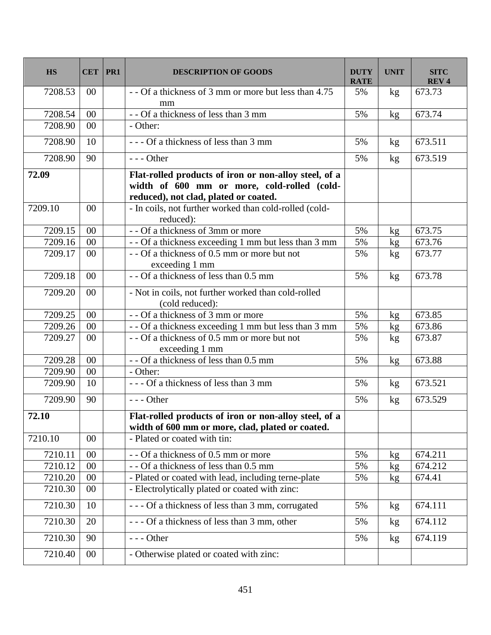| <b>HS</b> | <b>CET</b> | PR1 | <b>DESCRIPTION OF GOODS</b>                                                                                                                   | <b>DUTY</b><br><b>RATE</b> | <b>UNIT</b> | <b>SITC</b><br><b>REV4</b> |
|-----------|------------|-----|-----------------------------------------------------------------------------------------------------------------------------------------------|----------------------------|-------------|----------------------------|
| 7208.53   | $00\,$     |     | - - Of a thickness of 3 mm or more but less than 4.75<br>mm                                                                                   | 5%                         | kg          | 673.73                     |
| 7208.54   | 00         |     | - - Of a thickness of less than 3 mm                                                                                                          | 5%                         | kg          | 673.74                     |
| 7208.90   | $00\,$     |     | - Other:                                                                                                                                      |                            |             |                            |
| 7208.90   | 10         |     | --- Of a thickness of less than 3 mm                                                                                                          | 5%                         | kg          | 673.511                    |
| 7208.90   | 90         |     | $--$ Other                                                                                                                                    | 5%                         | kg          | 673.519                    |
| 72.09     |            |     | Flat-rolled products of iron or non-alloy steel, of a<br>width of 600 mm or more, cold-rolled (cold-<br>reduced), not clad, plated or coated. |                            |             |                            |
| 7209.10   | 00         |     | - In coils, not further worked than cold-rolled (cold-<br>reduced):                                                                           |                            |             |                            |
| 7209.15   | 00         |     | - - Of a thickness of 3mm or more                                                                                                             | 5%                         | kg          | 673.75                     |
| 7209.16   | 00         |     | - - Of a thickness exceeding 1 mm but less than 3 mm                                                                                          | 5%                         | kg          | 673.76                     |
| 7209.17   | 00         |     | - - Of a thickness of 0.5 mm or more but not<br>exceeding 1 mm                                                                                | 5%                         | kg          | 673.77                     |
| 7209.18   | $00\,$     |     | - - Of a thickness of less than 0.5 mm                                                                                                        | 5%                         | kg          | 673.78                     |
| 7209.20   | $00\,$     |     | - Not in coils, not further worked than cold-rolled<br>(cold reduced):                                                                        |                            |             |                            |
| 7209.25   | 00         |     | - - Of a thickness of 3 mm or more                                                                                                            | 5%                         | kg          | 673.85                     |
| 7209.26   | 00         |     | - - Of a thickness exceeding 1 mm but less than 3 mm                                                                                          | 5%                         | kg          | 673.86                     |
| 7209.27   | 00         |     | - - Of a thickness of 0.5 mm or more but not<br>exceeding 1 mm                                                                                | 5%                         | kg          | 673.87                     |
| 7209.28   | 00         |     | -- Of a thickness of less than 0.5 mm                                                                                                         | 5%                         | kg          | 673.88                     |
| 7209.90   | 00         |     | - Other:                                                                                                                                      |                            |             |                            |
| 7209.90   | 10         |     | --- Of a thickness of less than 3 mm                                                                                                          | 5%                         | kg          | 673.521                    |
| 7209.90   | 90         |     | $--$ Other                                                                                                                                    | 5%                         | kg          | 673.529                    |
| 72.10     |            |     | Flat-rolled products of iron or non-alloy steel, of a<br>width of 600 mm or more, clad, plated or coated.                                     |                            |             |                            |
| 7210.10   | $00\,$     |     | - Plated or coated with tin:                                                                                                                  |                            |             |                            |
| 7210.11   | $00\,$     |     | - - Of a thickness of 0.5 mm or more                                                                                                          | 5%                         | kg          | 674.211                    |
| 7210.12   | 00         |     | - - Of a thickness of less than 0.5 mm                                                                                                        | 5%                         | kg          | 674.212                    |
| 7210.20   | 00         |     | - Plated or coated with lead, including terne-plate                                                                                           | 5%                         | kg          | 674.41                     |
| 7210.30   | $00\,$     |     | - Electrolytically plated or coated with zinc:                                                                                                |                            |             |                            |
| 7210.30   | 10         |     | --- Of a thickness of less than 3 mm, corrugated                                                                                              | 5%                         | kg          | 674.111                    |
| 7210.30   | 20         |     | --- Of a thickness of less than 3 mm, other                                                                                                   | 5%                         | kg          | 674.112                    |
| 7210.30   | 90         |     | --- Other                                                                                                                                     | 5%                         | kg          | 674.119                    |
| 7210.40   | $00\,$     |     | - Otherwise plated or coated with zinc:                                                                                                       |                            |             |                            |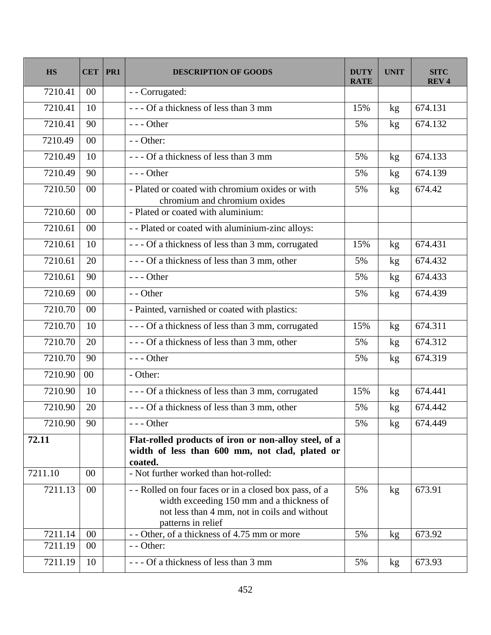| <b>HS</b> | <b>CET</b> | PR1 | <b>DESCRIPTION OF GOODS</b>                                                                                                                                              | <b>DUTY</b><br><b>RATE</b> | <b>UNIT</b>     | <b>SITC</b><br><b>REV4</b> |
|-----------|------------|-----|--------------------------------------------------------------------------------------------------------------------------------------------------------------------------|----------------------------|-----------------|----------------------------|
| 7210.41   | $00\,$     |     | - - Corrugated:                                                                                                                                                          |                            |                 |                            |
| 7210.41   | 10         |     | --- Of a thickness of less than 3 mm                                                                                                                                     | 15%                        | kg              | 674.131                    |
| 7210.41   | 90         |     | $--$ Other                                                                                                                                                               | 5%                         | kg              | 674.132                    |
| 7210.49   | $00\,$     |     | $-$ - Other:                                                                                                                                                             |                            |                 |                            |
| 7210.49   | 10         |     | --- Of a thickness of less than 3 mm                                                                                                                                     | 5%                         | kg              | 674.133                    |
| 7210.49   | 90         |     | $--$ Other                                                                                                                                                               | 5%                         | kg              | 674.139                    |
| 7210.50   | 00         |     | - Plated or coated with chromium oxides or with<br>chromium and chromium oxides                                                                                          | 5%                         | kg              | 674.42                     |
| 7210.60   | $00\,$     |     | - Plated or coated with aluminium:                                                                                                                                       |                            |                 |                            |
| 7210.61   | 00         |     | - - Plated or coated with aluminium-zinc alloys:                                                                                                                         |                            |                 |                            |
| 7210.61   | 10         |     | --- Of a thickness of less than 3 mm, corrugated                                                                                                                         | 15%                        | kg              | 674.431                    |
| 7210.61   | 20         |     | --- Of a thickness of less than 3 mm, other                                                                                                                              | 5%                         | kg              | 674.432                    |
| 7210.61   | 90         |     | $--$ Other                                                                                                                                                               | 5%                         | kg              | 674.433                    |
| 7210.69   | 00         |     | - - Other                                                                                                                                                                | 5%                         | kg              | 674.439                    |
| 7210.70   | 00         |     | - Painted, varnished or coated with plastics:                                                                                                                            |                            |                 |                            |
| 7210.70   | 10         |     | --- Of a thickness of less than 3 mm, corrugated                                                                                                                         | 15%                        | kg              | 674.311                    |
| 7210.70   | 20         |     | --- Of a thickness of less than 3 mm, other                                                                                                                              | 5%                         | kg              | 674.312                    |
| 7210.70   | 90         |     | $--$ Other                                                                                                                                                               | 5%                         | kg              | 674.319                    |
| 7210.90   | 00         |     | - Other:                                                                                                                                                                 |                            |                 |                            |
| 7210.90   | 10         |     | --- Of a thickness of less than 3 mm, corrugated                                                                                                                         | 15%                        | kg              | 674.441                    |
| 7210.90   | 20         |     | --- Of a thickness of less than 3 mm, other                                                                                                                              | 5%                         | kg              | 674.442                    |
| 7210.90   | 90         |     | $--$ Other                                                                                                                                                               | 5%                         | kg              | 674.449                    |
| 72.11     |            |     | Flat-rolled products of iron or non-alloy steel, of a<br>width of less than 600 mm, not clad, plated or<br>coated.                                                       |                            |                 |                            |
| 7211.10   | 00         |     | - Not further worked than hot-rolled:                                                                                                                                    |                            |                 |                            |
| 7211.13   | 00         |     | -- Rolled on four faces or in a closed box pass, of a<br>width exceeding 150 mm and a thickness of<br>not less than 4 mm, not in coils and without<br>patterns in relief | 5%                         | kg              | 673.91                     |
| 7211.14   | $00\,$     |     | - - Other, of a thickness of 4.75 mm or more                                                                                                                             | 5%                         | kg <sub>2</sub> | 673.92                     |
| 7211.19   | $00\,$     |     | - - Other:                                                                                                                                                               |                            |                 |                            |
| 7211.19   | 10         |     | --- Of a thickness of less than 3 mm                                                                                                                                     | 5%                         | kg              | 673.93                     |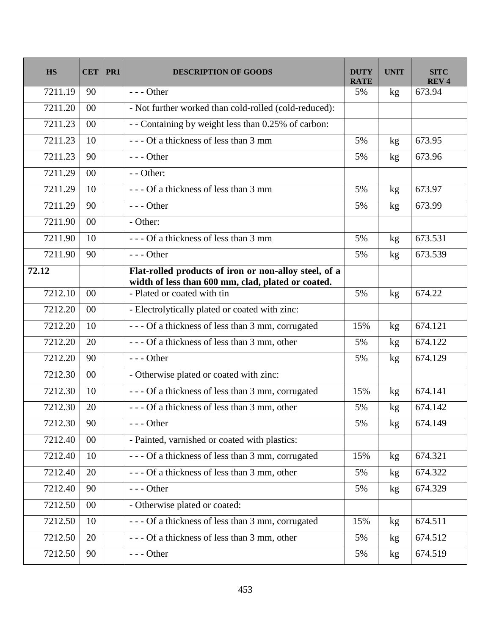| <b>HS</b> | <b>CET</b> | PR1 | <b>DESCRIPTION OF GOODS</b>                                                                                 | <b>DUTY</b><br><b>RATE</b> | <b>UNIT</b>     | <b>SITC</b><br><b>REV4</b> |
|-----------|------------|-----|-------------------------------------------------------------------------------------------------------------|----------------------------|-----------------|----------------------------|
| 7211.19   | 90         |     | $--$ Other                                                                                                  | 5%                         | kg              | 673.94                     |
| 7211.20   | $00\,$     |     | - Not further worked than cold-rolled (cold-reduced):                                                       |                            |                 |                            |
| 7211.23   | 00         |     | - - Containing by weight less than 0.25% of carbon:                                                         |                            |                 |                            |
| 7211.23   | 10         |     | --- Of a thickness of less than 3 mm                                                                        | 5%                         | kg              | 673.95                     |
| 7211.23   | 90         |     | $--$ Other                                                                                                  | 5%                         | kg              | 673.96                     |
| 7211.29   | $00\,$     |     | - - Other:                                                                                                  |                            |                 |                            |
| 7211.29   | 10         |     | --- Of a thickness of less than 3 mm                                                                        | 5%                         | kg              | 673.97                     |
| 7211.29   | 90         |     | $--$ Other                                                                                                  | 5%                         | kg              | 673.99                     |
| 7211.90   | $00\,$     |     | - Other:                                                                                                    |                            |                 |                            |
| 7211.90   | 10         |     | --- Of a thickness of less than 3 mm                                                                        | 5%                         | kg              | 673.531                    |
| 7211.90   | 90         |     | $--$ Other                                                                                                  | 5%                         | kg              | 673.539                    |
| 72.12     |            |     | Flat-rolled products of iron or non-alloy steel, of a<br>width of less than 600 mm, clad, plated or coated. |                            |                 |                            |
| 7212.10   | 00         |     | - Plated or coated with tin                                                                                 | 5%                         | kg              | 674.22                     |
| 7212.20   | 00         |     | - Electrolytically plated or coated with zinc:                                                              |                            |                 |                            |
| 7212.20   | 10         |     | --- Of a thickness of less than 3 mm, corrugated                                                            | 15%                        | kg              | 674.121                    |
| 7212.20   | 20         |     | --- Of a thickness of less than 3 mm, other                                                                 | 5%                         | kg <sub>2</sub> | 674.122                    |
| 7212.20   | 90         |     | $--$ Other                                                                                                  | 5%                         | kg              | 674.129                    |
| 7212.30   | 00         |     | - Otherwise plated or coated with zinc:                                                                     |                            |                 |                            |
| 7212.30   | 10         |     | --- Of a thickness of less than 3 mm, corrugated                                                            | 15%                        | kg              | 674.141                    |
| 7212.30   | 20         |     | --- Of a thickness of less than 3 mm, other                                                                 | 5%                         | kg              | 674.142                    |
| 7212.30   | 90         |     | $--$ Other                                                                                                  | 5%                         | kg              | 674.149                    |
| 7212.40   | $00\,$     |     | - Painted, varnished or coated with plastics:                                                               |                            |                 |                            |
| 7212.40   | 10         |     | --- Of a thickness of less than 3 mm, corrugated                                                            | 15%                        | kg              | 674.321                    |
| 7212.40   | 20         |     | --- Of a thickness of less than 3 mm, other                                                                 | 5%                         | kg <sub>2</sub> | 674.322                    |
| 7212.40   | 90         |     | $--- Other$                                                                                                 | 5%                         | kg              | 674.329                    |
| 7212.50   | $00\,$     |     | - Otherwise plated or coated:                                                                               |                            |                 |                            |
| 7212.50   | 10         |     | --- Of a thickness of less than 3 mm, corrugated                                                            | 15%                        | kg              | 674.511                    |
| 7212.50   | 20         |     | --- Of a thickness of less than 3 mm, other                                                                 | 5%                         | kg              | 674.512                    |
| 7212.50   | 90         |     | $--$ Other                                                                                                  | 5%                         | kg <sub>1</sub> | 674.519                    |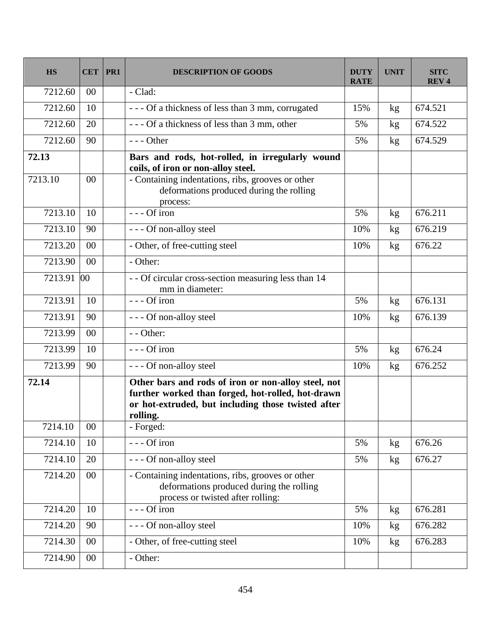| <b>HS</b> | <b>CET</b> | PR1 | <b>DESCRIPTION OF GOODS</b>                                                                                                                                                | <b>DUTY</b><br><b>RATE</b> | <b>UNIT</b> | <b>SITC</b><br><b>REV4</b> |
|-----------|------------|-----|----------------------------------------------------------------------------------------------------------------------------------------------------------------------------|----------------------------|-------------|----------------------------|
| 7212.60   | $00\,$     |     | - Clad:                                                                                                                                                                    |                            |             |                            |
| 7212.60   | 10         |     | --- Of a thickness of less than 3 mm, corrugated                                                                                                                           | 15%                        | kg          | 674.521                    |
| 7212.60   | 20         |     | --- Of a thickness of less than 3 mm, other                                                                                                                                | 5%                         | kg          | 674.522                    |
| 7212.60   | 90         |     | $--$ Other                                                                                                                                                                 | 5%                         | kg          | 674.529                    |
| 72.13     |            |     | Bars and rods, hot-rolled, in irregularly wound<br>coils, of iron or non-alloy steel.                                                                                      |                            |             |                            |
| 7213.10   | 00         |     | - Containing indentations, ribs, grooves or other<br>deformations produced during the rolling<br>process:                                                                  |                            |             |                            |
| 7213.10   | 10         |     | --- Of iron                                                                                                                                                                | 5%                         | kg          | 676.211                    |
| 7213.10   | 90         |     | --- Of non-alloy steel                                                                                                                                                     | 10%                        | kg          | 676.219                    |
| 7213.20   | 00         |     | - Other, of free-cutting steel                                                                                                                                             | 10%                        | kg          | 676.22                     |
| 7213.90   | 00         |     | - Other:                                                                                                                                                                   |                            |             |                            |
| 7213.91   | 00         |     | - - Of circular cross-section measuring less than 14<br>mm in diameter:                                                                                                    |                            |             |                            |
| 7213.91   | 10         |     | --- Of iron                                                                                                                                                                | 5%                         | kg          | 676.131                    |
| 7213.91   | 90         |     | --- Of non-alloy steel                                                                                                                                                     | 10%                        | kg          | 676.139                    |
| 7213.99   | $00\,$     |     | - - Other:                                                                                                                                                                 |                            |             |                            |
| 7213.99   | 10         |     | --- Of iron                                                                                                                                                                | 5%                         | kg          | 676.24                     |
| 7213.99   | 90         |     | --- Of non-alloy steel                                                                                                                                                     | 10%                        | kg          | 676.252                    |
| 72.14     |            |     | Other bars and rods of iron or non-alloy steel, not<br>further worked than forged, hot-rolled, hot-drawn<br>or hot-extruded, but including those twisted after<br>rolling. |                            |             |                            |
| 7214.10   | $00\,$     |     | - Forged:                                                                                                                                                                  |                            |             |                            |
| 7214.10   | 10         |     | --- Of iron                                                                                                                                                                | 5%                         | kg          | 676.26                     |
| 7214.10   | 20         |     | --- Of non-alloy steel                                                                                                                                                     | 5%                         | kg          | 676.27                     |
| 7214.20   | $00\,$     |     | - Containing indentations, ribs, grooves or other<br>deformations produced during the rolling<br>process or twisted after rolling:                                         |                            |             |                            |
| 7214.20   | 10         |     | --- Of iron                                                                                                                                                                | 5%                         | kg          | 676.281                    |
| 7214.20   | 90         |     | --- Of non-alloy steel                                                                                                                                                     | 10%                        | kg          | 676.282                    |
| 7214.30   | $00\,$     |     | - Other, of free-cutting steel                                                                                                                                             | 10%                        | kg          | 676.283                    |
| 7214.90   | $00\,$     |     | - Other:                                                                                                                                                                   |                            |             |                            |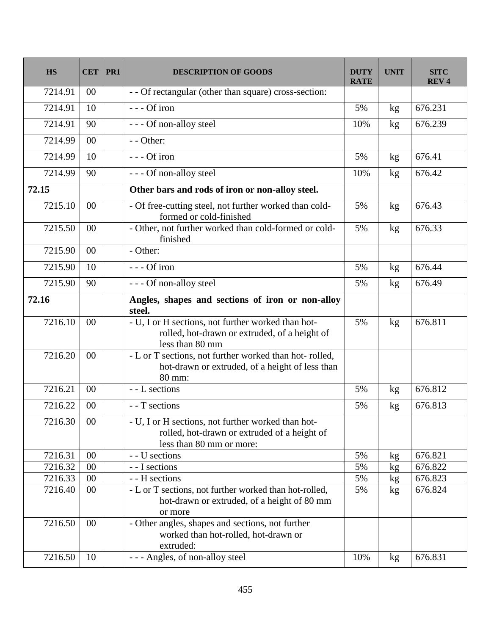| <b>HS</b> | <b>CET</b>     | PR1 | <b>DESCRIPTION OF GOODS</b>                                                                                                    | <b>DUTY</b><br><b>RATE</b> | <b>UNIT</b> | <b>SITC</b><br><b>REV4</b> |
|-----------|----------------|-----|--------------------------------------------------------------------------------------------------------------------------------|----------------------------|-------------|----------------------------|
| 7214.91   | $00\,$         |     | - - Of rectangular (other than square) cross-section:                                                                          |                            |             |                            |
| 7214.91   | 10             |     | $--$ Of iron                                                                                                                   | 5%                         | kg          | 676.231                    |
| 7214.91   | 90             |     | - - - Of non-alloy steel                                                                                                       | 10%                        | kg          | 676.239                    |
| 7214.99   | $00\,$         |     | - - Other:                                                                                                                     |                            |             |                            |
| 7214.99   | 10             |     | $--$ Of iron                                                                                                                   | 5%                         | kg          | 676.41                     |
| 7214.99   | 90             |     | --- Of non-alloy steel                                                                                                         | 10%                        | kg          | 676.42                     |
| 72.15     |                |     | Other bars and rods of iron or non-alloy steel.                                                                                |                            |             |                            |
| 7215.10   | 00             |     | - Of free-cutting steel, not further worked than cold-<br>formed or cold-finished                                              | 5%                         | kg          | 676.43                     |
| 7215.50   | $00\,$         |     | - Other, not further worked than cold-formed or cold-<br>finished                                                              | 5%                         | kg          | 676.33                     |
| 7215.90   | 00             |     | - Other:                                                                                                                       |                            |             |                            |
| 7215.90   | 10             |     | --- Of iron                                                                                                                    | 5%                         | kg          | 676.44                     |
| 7215.90   | 90             |     | --- Of non-alloy steel                                                                                                         | 5%                         | kg          | 676.49                     |
| 72.16     |                |     | Angles, shapes and sections of iron or non-alloy<br>steel.                                                                     |                            |             |                            |
| 7216.10   | 00             |     | - U, I or H sections, not further worked than hot-<br>rolled, hot-drawn or extruded, of a height of<br>less than 80 mm         | 5%                         | kg          | 676.811                    |
| 7216.20   | 00             |     | - L or T sections, not further worked than hot-rolled,<br>hot-drawn or extruded, of a height of less than<br>80 mm:            |                            |             |                            |
| 7216.21   | $00\,$         |     | - - L sections                                                                                                                 | 5%                         | kg          | 676.812                    |
| 7216.22   | 0 <sup>0</sup> |     | - - T sections                                                                                                                 | 5%                         | kg          | 676.813                    |
| 7216.30   | $00\,$         |     | - U, I or H sections, not further worked than hot-<br>rolled, hot-drawn or extruded of a height of<br>less than 80 mm or more: |                            |             |                            |
| 7216.31   | $00\,$         |     | - - U sections                                                                                                                 | 5%                         | kg          | 676.821                    |
| 7216.32   | $00\,$         |     | - - I sections                                                                                                                 | 5%                         | kg          | 676.822                    |
| 7216.33   | $00\,$         |     | - - H sections                                                                                                                 | 5%                         | kg          | 676.823                    |
| 7216.40   | $00\,$         |     | - L or T sections, not further worked than hot-rolled,<br>hot-drawn or extruded, of a height of 80 mm<br>or more               | 5%                         | kg          | 676.824                    |
| 7216.50   | $00\,$         |     | - Other angles, shapes and sections, not further<br>worked than hot-rolled, hot-drawn or<br>extruded:                          |                            |             |                            |
| 7216.50   | 10             |     | --- Angles, of non-alloy steel                                                                                                 | 10%                        | kg          | 676.831                    |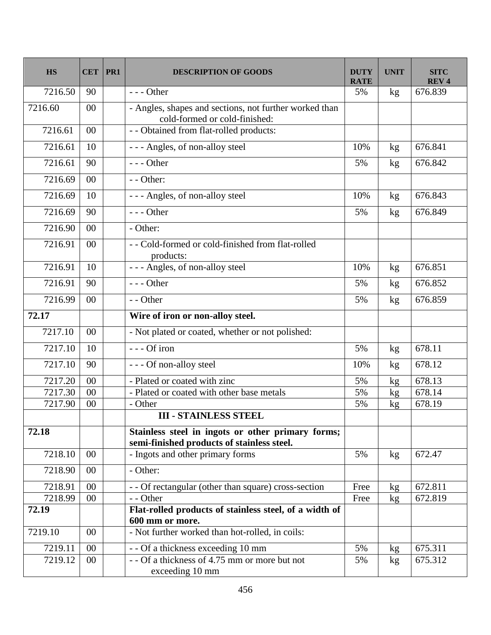| <b>HS</b> | <b>CET</b> | PR1 | <b>DESCRIPTION OF GOODS</b>                                                                     | <b>DUTY</b><br><b>RATE</b> | <b>UNIT</b>   | <b>SITC</b><br><b>REV4</b> |
|-----------|------------|-----|-------------------------------------------------------------------------------------------------|----------------------------|---------------|----------------------------|
| 7216.50   | 90         |     | $--$ Other                                                                                      | 5%                         | kg            | 676.839                    |
| 7216.60   | 00         |     | - Angles, shapes and sections, not further worked than<br>cold-formed or cold-finished:         |                            |               |                            |
| 7216.61   | 00         |     | - - Obtained from flat-rolled products:                                                         |                            |               |                            |
| 7216.61   | 10         |     | --- Angles, of non-alloy steel                                                                  | 10%                        | kg            | 676.841                    |
| 7216.61   | 90         |     | $--$ Other                                                                                      | 5%                         | $\mathbf{kg}$ | 676.842                    |
| 7216.69   | 00         |     | - - Other:                                                                                      |                            |               |                            |
| 7216.69   | 10         |     | --- Angles, of non-alloy steel                                                                  | 10%                        | kg            | 676.843                    |
| 7216.69   | 90         |     | $--$ Other                                                                                      | 5%                         | kg            | 676.849                    |
| 7216.90   | 00         |     | - Other:                                                                                        |                            |               |                            |
| 7216.91   | 00         |     | - - Cold-formed or cold-finished from flat-rolled<br>products:                                  |                            |               |                            |
| 7216.91   | 10         |     | --- Angles, of non-alloy steel                                                                  | 10%                        | kg            | 676.851                    |
| 7216.91   | 90         |     | $--$ Other                                                                                      | 5%                         | kg            | 676.852                    |
| 7216.99   | 00         |     | - - Other                                                                                       | 5%                         | kg            | 676.859                    |
| 72.17     |            |     | Wire of iron or non-alloy steel.                                                                |                            |               |                            |
| 7217.10   | 00         |     | - Not plated or coated, whether or not polished:                                                |                            |               |                            |
| 7217.10   | 10         |     | --- Of iron                                                                                     | 5%                         | kg            | 678.11                     |
| 7217.10   | 90         |     | --- Of non-alloy steel                                                                          | 10%                        | kg            | 678.12                     |
| 7217.20   | 00         |     | - Plated or coated with zinc                                                                    | 5%                         | kg            | 678.13                     |
| 7217.30   | 00         |     | - Plated or coated with other base metals                                                       | 5%                         | kg            | 678.14                     |
| 7217.90   | 00         |     | - Other                                                                                         | 5%                         | kg            | 678.19                     |
|           |            |     | <b>III - STAINLESS STEEL</b>                                                                    |                            |               |                            |
| 72.18     |            |     | Stainless steel in ingots or other primary forms;<br>semi-finished products of stainless steel. |                            |               |                            |
| 7218.10   | $00\,$     |     | - Ingots and other primary forms                                                                | 5%                         | kg            | 672.47                     |
| 7218.90   | $00\,$     |     | - Other:                                                                                        |                            |               |                            |
| 7218.91   | 00         |     | - - Of rectangular (other than square) cross-section                                            | Free                       | kg            | 672.811                    |
| 7218.99   | $00\,$     |     | - - Other                                                                                       | Free                       | kg            | 672.819                    |
| 72.19     |            |     | Flat-rolled products of stainless steel, of a width of<br>600 mm or more.                       |                            |               |                            |
| 7219.10   | $00\,$     |     | - Not further worked than hot-rolled, in coils:                                                 |                            |               |                            |
| 7219.11   | 00         |     | - - Of a thickness exceeding 10 mm                                                              | 5%                         | kg            | 675.311                    |
| 7219.12   | $00\,$     |     | - - Of a thickness of 4.75 mm or more but not                                                   | 5%                         | kg            | 675.312                    |
|           |            |     | exceeding 10 mm                                                                                 |                            |               |                            |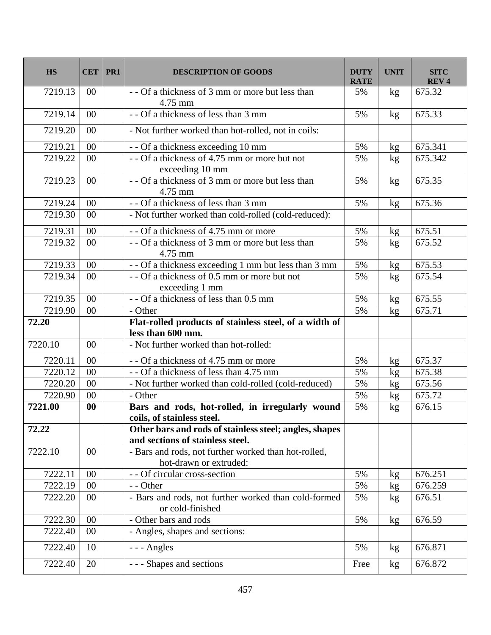| <b>HS</b> |                   | $CET$   PR1 | <b>DESCRIPTION OF GOODS</b>                                                                | <b>DUTY</b><br><b>RATE</b> | <b>UNIT</b> | <b>SITC</b><br>REV <sub>4</sub> |
|-----------|-------------------|-------------|--------------------------------------------------------------------------------------------|----------------------------|-------------|---------------------------------|
| 7219.13   | $00\,$            |             | - - Of a thickness of 3 mm or more but less than<br>4.75 mm                                | 5%                         | kg          | 675.32                          |
| 7219.14   | 00                |             | - - Of a thickness of less than 3 mm                                                       | 5%                         | kg          | 675.33                          |
| 7219.20   | 00                |             | - Not further worked than hot-rolled, not in coils:                                        |                            |             |                                 |
| 7219.21   | 00                |             | - - Of a thickness exceeding 10 mm                                                         | 5%                         | kg          | 675.341                         |
| 7219.22   | 00                |             | $\overline{-0}$ a thickness of 4.75 mm or more but not<br>exceeding 10 mm                  | 5%                         | kg          | 675.342                         |
| 7219.23   | 00                |             | - - Of a thickness of 3 mm or more but less than<br>4.75 mm                                | 5%                         | kg          | 675.35                          |
| 7219.24   | 00                |             | - - Of a thickness of less than 3 mm                                                       | 5%                         | kg          | 675.36                          |
| 7219.30   | 00                |             | - Not further worked than cold-rolled (cold-reduced):                                      |                            |             |                                 |
| 7219.31   | 00                |             | - - Of a thickness of 4.75 mm or more                                                      | 5%                         | kg          | 675.51                          |
| 7219.32   | 00                |             | - - Of a thickness of 3 mm or more but less than<br>4.75 mm                                | 5%                         | kg          | 675.52                          |
| 7219.33   | 00                |             | - - Of a thickness exceeding 1 mm but less than 3 mm                                       | 5%                         | kg          | 675.53                          |
| 7219.34   | 00                |             | - - Of a thickness of 0.5 mm or more but not<br>exceeding 1 mm                             | 5%                         | kg          | 675.54                          |
| 7219.35   | 00                |             | - - Of a thickness of less than 0.5 mm                                                     | 5%                         | kg          | 675.55                          |
| 7219.90   | 00                |             | - Other                                                                                    | 5%                         | kg          | 675.71                          |
| 72.20     |                   |             | Flat-rolled products of stainless steel, of a width of<br>less than 600 mm.                |                            |             |                                 |
| 7220.10   | 00                |             | - Not further worked than hot-rolled:                                                      |                            |             |                                 |
| 7220.11   | 00                |             | - - Of a thickness of 4.75 mm or more                                                      | 5%                         | kg          | 675.37                          |
| 7220.12   | 00                |             | - - Of a thickness of less than 4.75 mm                                                    | 5%                         | kg          | 675.38                          |
| 7220.20   | 00                |             | - Not further worked than cold-rolled (cold-reduced)                                       | 5%                         | kg          | 675.56                          |
| 7220.90   | 00                |             | - Other                                                                                    | 5%                         | kg          | 675.72                          |
| 7221.00   | $\boldsymbol{00}$ |             | Bars and rods, hot-rolled, in irregularly wound<br>coils, of stainless steel.              | 5%                         | kg          | 676.15                          |
| 72.22     |                   |             | Other bars and rods of stainless steel; angles, shapes<br>and sections of stainless steel. |                            |             |                                 |
| 7222.10   | 00                |             | - Bars and rods, not further worked than hot-rolled,<br>hot-drawn or extruded:             |                            |             |                                 |
| 7222.11   | 00                |             | - - Of circular cross-section                                                              | 5%                         | kg          | 676.251                         |
| 7222.19   | $00\,$            |             | - - Other                                                                                  | 5%                         | kg          | 676.259                         |
| 7222.20   | $00\,$            |             | - Bars and rods, not further worked than cold-formed<br>or cold-finished                   | 5%                         | kg          | 676.51                          |
| 7222.30   | 00                |             | - Other bars and rods                                                                      | 5%                         | kg          | 676.59                          |
| 7222.40   | 00                |             | - Angles, shapes and sections:                                                             |                            |             |                                 |
| 7222.40   | 10                |             | --- Angles                                                                                 | 5%                         | kg          | 676.871                         |
| 7222.40   | 20                |             | Shapes and sections                                                                        | Free                       | kg          | 676.872                         |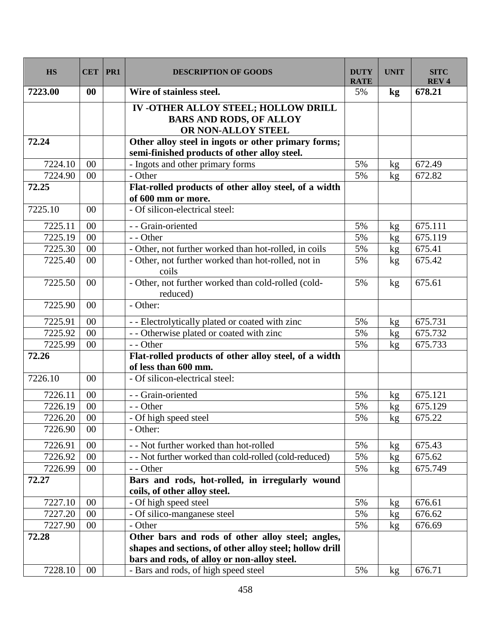| <b>HS</b> | <b>CET</b>      | PR1 | <b>DESCRIPTION OF GOODS</b>                                                                            | <b>DUTY</b><br><b>RATE</b> | <b>UNIT</b>   | <b>SITC</b><br><b>REV4</b> |
|-----------|-----------------|-----|--------------------------------------------------------------------------------------------------------|----------------------------|---------------|----------------------------|
| 7223.00   | $\bf{00}$       |     | Wire of stainless steel.                                                                               | 5%                         | $\mathbf{kg}$ | 678.21                     |
|           |                 |     | IV -OTHER ALLOY STEEL; HOLLOW DRILL<br><b>BARS AND RODS, OF ALLOY</b><br>OR NON-ALLOY STEEL            |                            |               |                            |
| 72.24     |                 |     | Other alloy steel in ingots or other primary forms;<br>semi-finished products of other alloy steel.    |                            |               |                            |
| 7224.10   | 00              |     | - Ingots and other primary forms                                                                       | 5%                         | kg            | 672.49                     |
| 7224.90   | 00              |     | - Other                                                                                                | 5%                         | kg            | 672.82                     |
| 72.25     |                 |     | Flat-rolled products of other alloy steel, of a width<br>of 600 mm or more.                            |                            |               |                            |
| 7225.10   | 00              |     | - Of silicon-electrical steel:                                                                         |                            |               |                            |
| 7225.11   | 00              |     | - - Grain-oriented                                                                                     | 5%                         | kg            | 675.111                    |
| 7225.19   | 00              |     | - - Other                                                                                              | 5%                         | kg            | 675.119                    |
| 7225.30   | 00              |     | - Other, not further worked than hot-rolled, in coils                                                  | 5%                         | kg            | 675.41                     |
| 7225.40   | $00\,$          |     | - Other, not further worked than hot-rolled, not in<br>coils                                           | 5%                         | kg            | 675.42                     |
| 7225.50   | $00\,$          |     | - Other, not further worked than cold-rolled (cold-<br>reduced)                                        | 5%                         | kg            | 675.61                     |
| 7225.90   | $00\,$          |     | - Other:                                                                                               |                            |               |                            |
| 7225.91   | 00              |     | - - Electrolytically plated or coated with zinc                                                        | 5%                         | kg            | 675.731                    |
| 7225.92   | 00              |     | - - Otherwise plated or coated with zinc                                                               | 5%                         | kg            | 675.732                    |
| 7225.99   | 00              |     | - - Other                                                                                              | 5%                         | kg            | 675.733                    |
| 72.26     |                 |     | Flat-rolled products of other alloy steel, of a width<br>of less than 600 mm.                          |                            |               |                            |
| 7226.10   | 00              |     | - Of silicon-electrical steel:                                                                         |                            |               |                            |
| 7226.11   | 00              |     | - - Grain-oriented                                                                                     | 5%                         | kg            | 675.121                    |
| 7226.19   | 00              |     | - - Other                                                                                              | 5%                         | kg            | 675.129                    |
| 7226.20   | $\overline{00}$ |     | - Of high speed steel                                                                                  | 5%                         | kg            | 675.22                     |
| 7226.90   | $00\,$          |     | - Other:                                                                                               |                            |               |                            |
| 7226.91   | $00\,$          |     | - - Not further worked than hot-rolled                                                                 | 5%                         | kg            | 675.43                     |
| 7226.92   | 00              |     | - - Not further worked than cold-rolled (cold-reduced)                                                 | 5%                         | kg            | 675.62                     |
| 7226.99   | $00\,$          |     | - - Other                                                                                              | 5%                         | kg            | 675.749                    |
| 72.27     |                 |     | Bars and rods, hot-rolled, in irregularly wound<br>coils, of other alloy steel.                        |                            |               |                            |
| 7227.10   | $00\,$          |     | - Of high speed steel                                                                                  | 5%                         | kg            | 676.61                     |
| 7227.20   | $00\,$          |     | - Of silico-manganese steel                                                                            | 5%                         | kg            | 676.62                     |
| 7227.90   | $00\,$          |     | - Other                                                                                                | 5%                         | kg            | 676.69                     |
| 72.28     |                 |     | Other bars and rods of other alloy steel; angles,                                                      |                            |               |                            |
|           |                 |     | shapes and sections, of other alloy steel; hollow drill<br>bars and rods, of alloy or non-alloy steel. |                            |               |                            |
| 7228.10   | $00\,$          |     | - Bars and rods, of high speed steel                                                                   | 5%                         | kg            | 676.71                     |